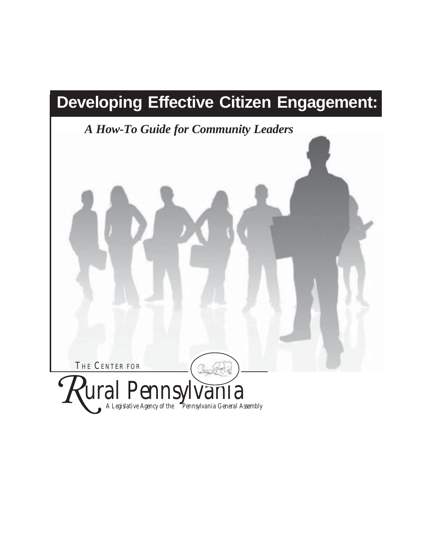# **Developing Effective Citizen Engagement:**

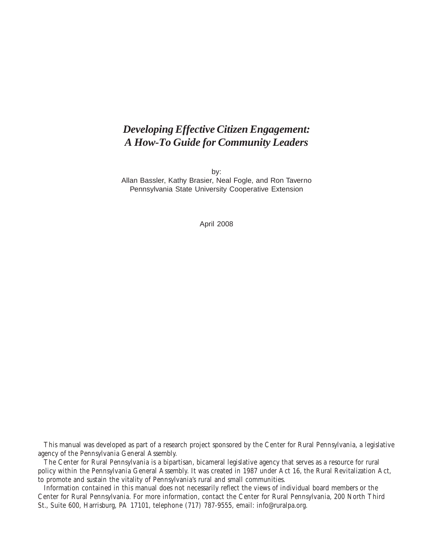# *Developing Effective Citizen Engagement: A How-To Guide for Community Leaders*

by: Allan Bassler, Kathy Brasier, Neal Fogle, and Ron Taverno Pennsylvania State University Cooperative Extension

April 2008

This manual was developed as part of a research project sponsored by the Center for Rural Pennsylvania, a legislative agency of the Pennsylvania General Assembly.

The Center for Rural Pennsylvania is a bipartisan, bicameral legislative agency that serves as a resource for rural policy within the Pennsylvania General Assembly. It was created in 1987 under Act 16, the Rural Revitalization Act, to promote and sustain the vitality of Pennsylvania's rural and small communities.

Information contained in this manual does not necessarily reflect the views of individual board members or the Center for Rural Pennsylvania. For more information, contact the Center for Rural Pennsylvania, 200 North Third St., Suite 600, Harrisburg, PA 17101, telephone (717) 787-9555, email: info@ruralpa.org.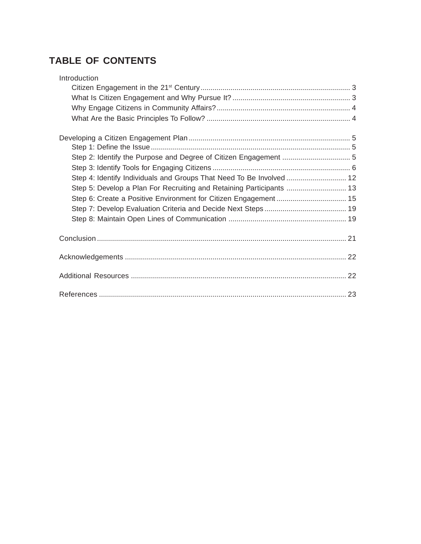# **TABLE OF CONTENTS**

| Introduction                                                         |  |
|----------------------------------------------------------------------|--|
|                                                                      |  |
|                                                                      |  |
|                                                                      |  |
|                                                                      |  |
|                                                                      |  |
|                                                                      |  |
| Step 2: Identify the Purpose and Degree of Citizen Engagement  5     |  |
|                                                                      |  |
| Step 4: Identify Individuals and Groups That Need To Be Involved  12 |  |
| Step 5: Develop a Plan For Recruiting and Retaining Participants  13 |  |
|                                                                      |  |
|                                                                      |  |
|                                                                      |  |
|                                                                      |  |
|                                                                      |  |
|                                                                      |  |
|                                                                      |  |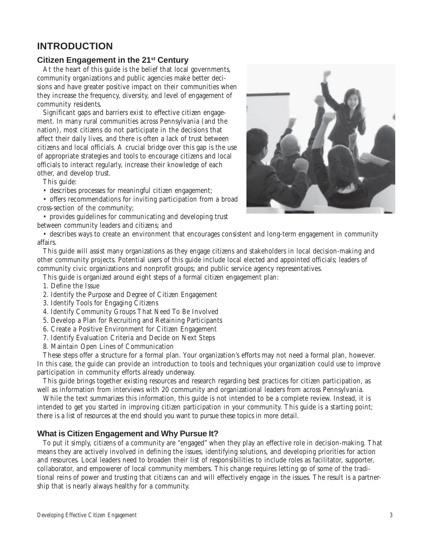# **INTRODUCTION**

#### **Citizen Engagement in the 21st Century**

At the heart of this guide is the belief that local governments, community organizations and public agencies make better decisions and have greater positive impact on their communities when they increase the frequency, diversity, and level of engagement of community residents.

Significant gaps and barriers exist to effective citizen engagement. In many rural communities across Pennsylvania (and the nation), most citizens do not participate in the decisions that affect their daily lives, and there is often a lack of trust between citizens and local officials. A crucial bridge over this gap is the use of appropriate strategies and tools to encourage citizens and local officials to interact regularly, increase their knowledge of each other, and develop trust.

This guide:

- describes processes for meaningful citizen engagement;
- offers recommendations for inviting participation from a broad cross-section of the community;
- provides guidelines for communicating and developing trust
- between community leaders and citizens; and



• describes ways to create an environment that encourages consistent and long-term engagement in community affairs.

This guide will assist many organizations as they engage citizens and stakeholders in local decision-making and other community projects. Potential users of this guide include local elected and appointed officials; leaders of community civic organizations and nonprofit groups; and public service agency representatives.

This guide is organized around eight steps of a formal citizen engagement plan:

- 1. Define the Issue
- 2. Identify the Purpose and Degree of Citizen Engagement
- 3. Identify Tools for Engaging Citizens
- 4. Identify Community Groups That Need To Be Involved
- 5. Develop a Plan for Recruiting and Retaining Participants
- 6. Create a Positive Environment for Citizen Engagement
- 7. Identify Evaluation Criteria and Decide on Next Steps
- 8. Maintain Open Lines of Communication

These steps offer a structure for a formal plan. Your organization's efforts may not need a formal plan, however. In this case, the guide can provide an introduction to tools and techniques your organization could use to improve participation in community efforts already underway.

This guide brings together existing resources and research regarding best practices for citizen participation, as well as information from interviews with 20 community and organizational leaders from across Pennsylvania.

While the text summarizes this information, this guide is not intended to be a complete review. Instead, it is intended to get you started in improving citizen participation in your community. This guide is a starting point; there is a list of resources at the end should you want to pursue these topics in more detail.

### **What is Citizen Engagement and Why Pursue It?**

To put it simply, citizens of a community are "engaged" when they play an effective role in decision-making. That means they are actively involved in defining the issues, identifying solutions, and developing priorities for action and resources. Local leaders need to broaden their list of responsibilities to include roles as facilitator, supporter, collaborator, and empowerer of local community members. This change requires letting go of some of the traditional reins of power and trusting that citizens can and will effectively engage in the issues. The result is a partnership that is nearly always healthy for a community.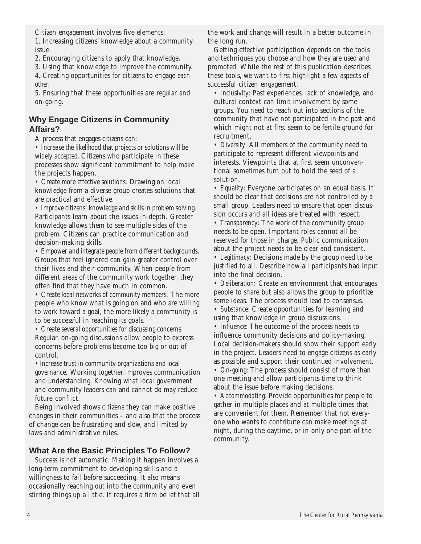Citizen engagement involves five elements:

1. Increasing citizens' knowledge about a community issue.

2. Encouraging citizens to apply that knowledge.

3. Using that knowledge to improve the community.

4. Creating opportunities for citizens to engage *each other.*

5. Ensuring that these opportunities are regular and on-going.

# **Why Engage Citizens in Community Affairs?**

A process that engages citizens can:

*• Increase the likelihood that projects or solutions will be widely accepted*. Citizens who participate in these processes show significant commitment to help make the projects happen.

*• Create more effective solutions.* Drawing on local knowledge from a diverse group creates solutions that are practical and effective.

*• Improve citizens' knowledge and skills in problem solving.* Participants learn about the issues in-depth. Greater knowledge allows them to see multiple sides of the problem. Citizens can practice communication and decision-making skills.

*• Empower and integrate people from different backgrounds.* Groups that feel ignored can gain greater control over their lives and their community. When people from different areas of the community work together, they often find that they have much in common.

*• Create local networks of community members.* The more people who know what is going on and who are willing to work toward a goal, the more likely a community is to be successful in reaching its goals.

*• Create several opportunities for discussing concerns.* Regular, on-going discussions allow people to express concerns before problems become too big or out of control.

*•Increase trust in community organizations and local governance.* Working together improves communication and understanding. Knowing what local government and community leaders can and cannot do may reduce future conflict.

Being involved shows citizens they can make positive changes in their communities – and also that the process of change can be frustrating and slow, and limited by laws and administrative rules.

# **What Are the Basic Principles To Follow?**

Success is not automatic. Making it happen involves a long-term commitment to developing skills and a willingness to fail before succeeding. It also means occasionally reaching out into the community and even stirring things up a little. It requires a firm belief that all the work and change will result in a better outcome in the long run.

Getting effective participation depends on the tools and techniques you choose and how they are used and promoted. While the rest of this publication describes these tools, we want to first highlight a few aspects of successful citizen engagement.

*• Inclusivity*: Past experiences, lack of knowledge, and cultural context can limit involvement by some groups. You need to reach out into sections of the community that have not participated in the past and which might not at first seem to be fertile ground for recruitment.

• *Diversity*: All members of the community need to participate to represent different viewpoints and interests. Viewpoints that at first seem unconventional sometimes turn out to hold the seed of a solution.

*• Equality*: Everyone participates on an equal basis. It should be clear that decisions are not controlled by a small group. Leaders need to ensure that open discussion occurs and all ideas are treated with respect.

*• Transparency*: The work of the community group needs to be open. Important roles cannot all be reserved for those in charge. Public communication about the project needs to be clear and consistent.

*• Legitimacy*: Decisions made by the group need to be justified to all. Describe how all participants had input into the final decision.

*• Deliberation:* Create an environment that encourages people to share but also allows the group to prioritize some ideas. The process should lead to consensus.

*• Substance*: Create opportunities for learning and using that knowledge in group discussions.

*• Influence*: The outcome of the process needs to influence community decisions and policy-making. Local decision-makers should show their support early in the project. Leaders need to engage citizens as early as possible and support their continued involvement.

*• On-going*: The process should consist of more than one meeting and allow participants time to think about the issue before making decisions.

*• Accommodating*: Provide opportunities for people to gather in multiple places and at multiple times that are convenient for them. Remember that not everyone who wants to contribute can make meetings at night, during the daytime, or in only one part of the community.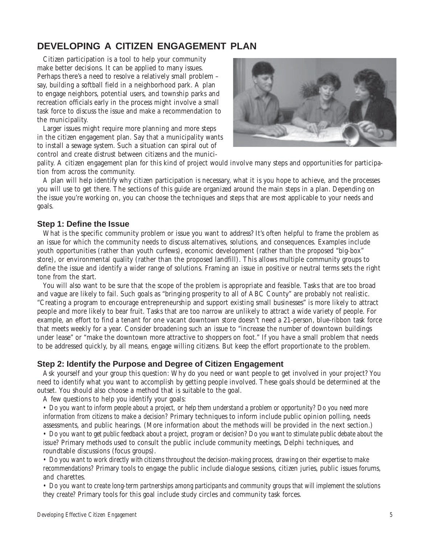# **DEVELOPING A CITIZEN ENGAGEMENT PLAN**

Citizen participation is a tool to help your community make better decisions. It can be applied to many issues. Perhaps there's a need to resolve a relatively small problem – say, building a softball field in a neighborhood park. A plan to engage neighbors, potential users, and township parks and recreation officials early in the process might involve a small task force to discuss the issue and make a recommendation to the municipality.

Larger issues might require more planning and more steps in the citizen engagement plan. Say that a municipality wants to install a sewage system. Such a situation can spiral out of control and create distrust between citizens and the munici-



pality. A citizen engagement plan for this kind of project would involve many steps and opportunities for participation from across the community.

A plan will help identify why citizen participation is necessary, what it is you hope to achieve, and the processes you will use to get there. The sections of this guide are organized around the main steps in a plan. Depending on the issue you're working on, you can choose the techniques and steps that are most applicable to your needs and goals.

#### **Step 1: Define the Issue**

What is the specific community problem or issue you want to address? It's often helpful to frame the problem as an issue for which the community needs to discuss alternatives, solutions, and consequences. Examples include youth opportunities (rather than youth curfews), economic development (rather than the proposed "big-box" store), or environmental quality (rather than the proposed landfill). This allows multiple community groups to define the issue and identify a wider range of solutions. Framing an issue in positive or neutral terms sets the right tone from the start.

You will also want to be sure that the scope of the problem is appropriate and feasible. Tasks that are too broad and vague are likely to fail. Such goals as "bringing prosperity to all of ABC County" are probably not realistic. "Creating a program to encourage entrepreneurship and support existing small businesses" is more likely to attract people and more likely to bear fruit. Tasks that are too narrow are unlikely to attract a wide variety of people. For example, an effort to find a tenant for one vacant downtown store doesn't need a 21-person, blue-ribbon task force that meets weekly for a year. Consider broadening such an issue to "increase the number of downtown buildings under lease" or "make the downtown more attractive to shoppers on foot." If you have a small problem that needs to be addressed quickly, by all means, engage willing citizens. But keep the effort proportionate to the problem.

#### **Step 2: Identify the Purpose and Degree of Citizen Engagement**

Ask yourself and your group this question: Why do you need or want people to get involved in your project? You need to identify what you want to accomplish by getting people involved. These goals should be determined at the outset. You should also choose a method that is suitable to the goal.

A few questions to help you identify your goals:

*• Do you want to inform people about a project, or help them understand a problem or opportunity? Do you need more information from citizens to make a decision?* Primary techniques to inform include public opinion polling, needs assessments, and public hearings. (More information about the methods will be provided in the next section.)

*• Do you want to get public feedback about a project, program or decision? Do you want to stimulate public debate about the issue?* Primary methods used to consult the public include community meetings, Delphi techniques, and roundtable discussions (focus groups).

*• Do you want to work directly with citizens throughout the decision-making process, drawing on their expertise to make recommendations?* Primary tools to engage the public include dialogue sessions, citizen juries, public issues forums, and charettes.

*• Do you want to create long-term partnerships among participants and community groups that will implement the solutions they create?* Primary tools for this goal include study circles and community task forces.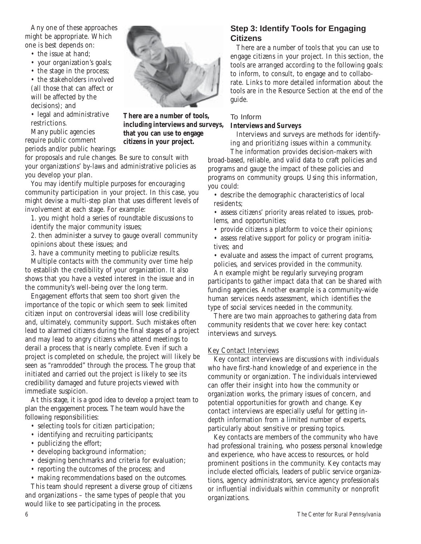Any one of these approaches might be appropriate. Which one is best depends on:

- the issue at hand;
- your organization's goals;
- the stage in the process;

• the stakeholders involved (all those that can affect or will be affected by the decisions); and

• legal and administrative restrictions.

Many public agencies require public comment periods and/or public hearings

for proposals and rule changes. Be sure to consult with your organizations' by-laws and administrative policies as you develop your plan.

You may identify multiple purposes for encouraging community participation in your project. In this case, you might devise a multi-step plan that uses different levels of involvement at each stage. For example:

1. you might hold a series of roundtable discussions to identify the major community issues;

2. then administer a survey to gauge overall community opinions about these issues; and

3. have a community meeting to publicize results.

Multiple contacts with the community over time help to establish the credibility of your organization. It also shows that you have a vested interest in the issue and in the community's well-being over the long term.

Engagement efforts that seem too short given the importance of the topic or which seem to seek limited citizen input on controversial ideas will lose credibility and, ultimately, community support. Such mistakes often lead to alarmed citizens during the final stages of a project and may lead to angry citizens who attend meetings to derail a process that is nearly complete. Even if such a project is completed on schedule, the project will likely be seen as "ramrodded" through the process. The group that initiated and carried out the project is likely to see its credibility damaged and future projects viewed with immediate suspicion.

At this stage, it is a good idea to develop a project team to plan the engagement process. The team would have the following responsibilities:

- selecting tools for citizen participation;
- identifying and recruiting participants;
- publicizing the effort;
- developing background information;
- designing benchmarks and criteria for evaluation;
- reporting the outcomes of the process; and

• making recommendations based on the outcomes.

This team should represent a diverse group of citizens and organizations – the same types of people that you would like to see participating in the process.



**There are a number of tools, including interviews and surveys, that you can use to engage citizens in your project.**

# **Step 3: Identify Tools for Engaging**

There are a number of tools that you can use to engage citizens in your project. In this section, the tools are arranged according to the following goals: to inform, to consult, to engage and to collaborate. Links to more detailed information about the tools are in the Resource Section at the end of the guide.

#### To Inform

### **Interviews and Surveys**

Interviews and surveys are methods for identifying and prioritizing issues within a community.

The information provides decision-makers with broad-based, reliable, and valid data to craft policies and programs and gauge the impact of these policies and programs on community groups. Using this information, you could:

• describe the demographic characteristics of local residents;

• assess citizens' priority areas related to issues, problems, and opportunities;

• provide citizens a platform to voice their opinions; • assess relative support for policy or program initiatives; and

• evaluate and assess the impact of current programs, policies, and services provided in the community.

An example might be regularly surveying program participants to gather impact data that can be shared with funding agencies. Another example is a community-wide human services needs assessment, which identifies the type of social services needed in the community.

There are two main approaches to gathering data from community residents that we cover here: key contact interviews and surveys.

#### Key Contact Interviews

Key contact interviews are discussions with individuals who have first-hand knowledge of and experience in the community or organization. The individuals interviewed can offer their insight into how the community or organization works, the primary issues of concern, and potential opportunities for growth and change. Key contact interviews are especially useful for getting indepth information from a limited number of experts, particularly about sensitive or pressing topics.

Key contacts are members of the community who have had professional training, who possess personal knowledge and experience, who have access to resources, or hold prominent positions in the community. Key contacts may include elected officials, leaders of public service organizations, agency administrators, service agency professionals or influential individuals within community or nonprofit organizations.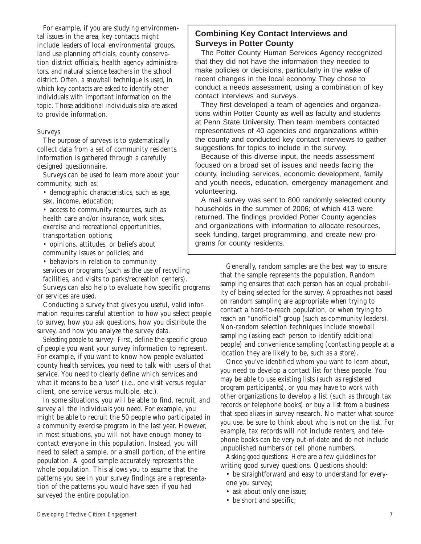For example, if you are studying environmental issues in the area, key contacts might include leaders of local environmental groups, land use planning officials, county conservation district officials, health agency administrators, and natural science teachers in the school district. Often, a snowball technique is used, in which key contacts are asked to identify other individuals with important information on the topic. Those additional individuals also are asked to provide information.

#### Surveys

The purpose of surveys is to systematically collect data from a set of community residents. Information is gathered through a carefully designed questionnaire.

Surveys can be used to learn more about your community, such as:

- demographic characteristics, such as age,
- sex, income, education;
- access to community resources, such as health care and/or insurance, work sites, exercise and recreational opportunities, transportation options;
- opinions, attitudes, or beliefs about community issues or policies; and

• behaviors in relation to community

services or programs (such as the use of recycling facilities, and visits to parks/recreation centers).

Surveys can also help to evaluate how specific programs or services are used.

Conducting a survey that gives you useful, valid information requires careful attention to how you select people to survey, how you ask questions, how you distribute the survey, and how you analyze the survey data.

*Selecting people to survey:* First, define the specific group of people you want your survey information to represent. For example, if you want to know how people evaluated county health services, you need to talk with users of that service. You need to clearly define which services and what it means to be a 'user' (i.e., one visit versus regular client, one service versus multiple, etc.).

In some situations, you will be able to find, recruit, and survey all the individuals you need. For example, you might be able to recruit the 50 people who participated in a community exercise program in the last year. However, in most situations, you will not have enough money to contact everyone in this population. Instead, you will need to select a sample, or a small portion, of the entire population. A good sample accurately represents the whole population. This allows you to assume that the patterns you see in your survey findings are a representation of the patterns you would have seen if you had surveyed the entire population.

### **Combining Key Contact Interviews and Surveys in Potter County**

The Potter County Human Services Agency recognized that they did not have the information they needed to make policies or decisions, particularly in the wake of recent changes in the local economy. They chose to conduct a needs assessment, using a combination of key contact interviews and surveys.

They first developed a team of agencies and organizations within Potter County as well as faculty and students at Penn State University. Then team members contacted representatives of 40 agencies and organizations within the county and conducted key contact interviews to gather suggestions for topics to include in the survey.

Because of this diverse input, the needs assessment focused on a broad set of issues and needs facing the county, including services, economic development, family and youth needs, education, emergency management and volunteering.

A mail survey was sent to 800 randomly selected county households in the summer of 2006; of which 413 were returned. The findings provided Potter County agencies and organizations with information to allocate resources, seek funding, target programming, and create new programs for county residents.

> Generally, random samples are the best way to ensure that the sample represents the population. Random sampling ensures that each person has an equal probability of being selected for the survey. Approaches not based on random sampling are appropriate when trying to contact a hard-to-reach population, or when trying to reach an "unofficial" group (such as community leaders). Non-random selection techniques include snowball sampling (asking each person to identify additional people) and convenience sampling (contacting people at a location they are likely to be, such as a store).

> Once you've identified whom you want to learn about, you need to develop a contact list for these people. You may be able to use existing lists (such as registered program participants), or you may have to work with other organizations to develop a list (such as through tax records or telephone books) or buy a list from a business that specializes in survey research. No matter what source you use, be sure to think about who is not on the list. For example, tax records will not include renters, and telephone books can be very out-of-date and do not include unpublished numbers or cell phone numbers.

*Asking good questions:* Here are a few guidelines for writing good survey questions. Questions should:

- be straightforward and easy to understand for everyone you survey;
- ask about only one issue;
- be short and specific;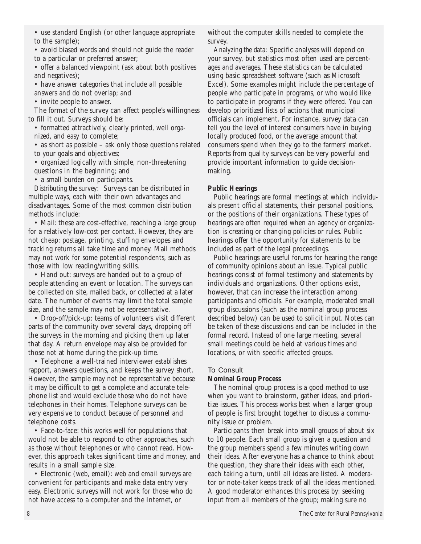• use standard English (or other language appropriate to the sample);

• avoid biased words and should not guide the reader to a particular or preferred answer;

• offer a balanced viewpoint (ask about both positives and negatives);

• have answer categories that include all possible answers and do not overlap; and

• invite people to answer.

The format of the survey can affect people's willingness to fill it out. Surveys should be:

• formatted attractively, clearly printed, well orga-

nized, and easy to complete;

• as short as possible – ask only those questions related to your goals and objectives;

• organized logically with simple, non-threatening questions in the beginning; and

• a small burden on participants.

*Distributing the survey:* Surveys can be distributed in multiple ways, each with their own advantages and disadvantages. Some of the most common distribution methods include:

• Mail: these are cost-effective, reaching a large group for a relatively low-cost per contact. However, they are not cheap: postage, printing, stuffing envelopes and tracking returns all take time and money. Mail methods may not work for some potential respondents, such as those with low reading/writing skills.

• Hand out: surveys are handed out to a group of people attending an event or location. The surveys can be collected on site, mailed back, or collected at a later date. The number of events may limit the total sample size, and the sample may not be representative.

• Drop-off/pick-up: teams of volunteers visit different parts of the community over several days, dropping off the surveys in the morning and picking them up later that day. A return envelope may also be provided for those not at home during the pick-up time.

• Telephone: a well-trained interviewer establishes rapport, answers questions, and keeps the survey short. However, the sample may not be representative because it may be difficult to get a complete and accurate telephone list and would exclude those who do not have telephones in their homes. Telephone surveys can be very expensive to conduct because of personnel and telephone costs.

• Face-to-face: this works well for populations that would not be able to respond to other approaches, such as those without telephones or who cannot read. However, this approach takes significant time and money, and results in a small sample size.

• Electronic (web, email): web and email surveys are convenient for participants and make data entry very easy. Electronic surveys will not work for those who do not have access to a computer and the Internet, or

without the computer skills needed to complete the survey.

*Analyzing the data:* Specific analyses will depend on your survey, but statistics most often used are percentages and averages. These statistics can be calculated using basic spreadsheet software (such as Microsoft Excel). Some examples might include the percentage of people who participate in programs, or who would like to participate in programs if they were offered. You can develop prioritized lists of actions that municipal officials can implement. For instance, survey data can tell you the level of interest consumers have in buying locally produced food, or the average amount that consumers spend when they go to the farmers' market. Reports from quality surveys can be very powerful and provide important information to guide decisionmaking.

#### **Public Hearings**

Public hearings are formal meetings at which individuals present official statements, their personal positions, or the positions of their organizations. These types of hearings are often required when an agency or organization is creating or changing policies or rules. Public hearings offer the opportunity for statements to be included as part of the legal proceedings.

Public hearings are useful forums for hearing the range of community opinions about an issue. Typical public hearings consist of formal testimony and statements by individuals and organizations. Other options exist, however, that can increase the interaction among participants and officials. For example, moderated small group discussions (such as the nominal group process described below) can be used to solicit input. Notes can be taken of these discussions and can be included in the formal record. Instead of one large meeting, several small meetings could be held at various times and locations, or with specific affected groups.

#### To Consult

#### **Nominal Group Process**

The nominal group process is a good method to use when you want to brainstorm, gather ideas, and prioritize issues. This process works best when a larger group of people is first brought together to discuss a community issue or problem.

Participants then break into small groups of about six to 10 people. Each small group is given a question and the group members spend a few minutes writing down their ideas. After everyone has a chance to think about the question, they share their ideas with each other, each taking a turn, until all ideas are listed. A moderator or note-taker keeps track of all the ideas mentioned. A good moderator enhances this process by: seeking input from all members of the group; making sure no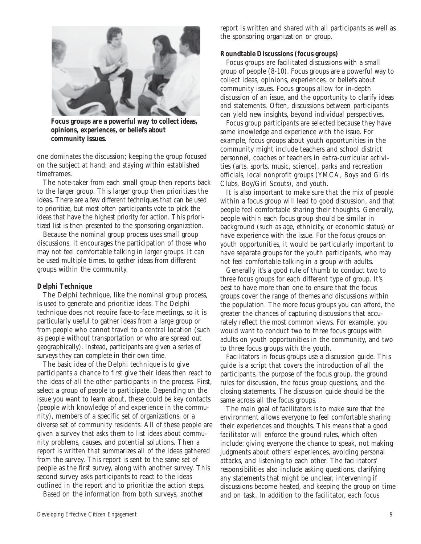

**Focus groups are a powerful way to collect ideas, opinions, experiences, or beliefs about community issues.**

one dominates the discussion; keeping the group focused on the subject at hand; and staying within established timeframes.

The note-taker from each small group then reports back to the larger group. This larger group then prioritizes the ideas. There are a few different techniques that can be used to prioritize, but most often participants vote to pick the ideas that have the highest priority for action. This prioritized list is then presented to the sponsoring organization.

Because the nominal group process uses small group discussions, it encourages the participation of those who may not feel comfortable talking in larger groups. It can be used multiple times, to gather ideas from different groups within the community.

#### **Delphi Technique**

The Delphi technique, like the nominal group process, is used to generate and prioritize ideas. The Delphi technique does not require face-to-face meetings, so it is particularly useful to gather ideas from a large group or from people who cannot travel to a central location (such as people without transportation or who are spread out geographically). Instead, participants are given a series of surveys they can complete in their own time.

The basic idea of the Delphi technique is to give participants a chance to first give their ideas then react to the ideas of all the other participants in the process. First, select a group of people to participate. Depending on the issue you want to learn about, these could be key contacts (people with knowledge of and experience in the community), members of a specific set of organizations, or a diverse set of community residents. All of these people are given a survey that asks them to list ideas about community problems, causes, and potential solutions. Then a report is written that summarizes all of the ideas gathered from the survey. This report is sent to the same set of people as the first survey, along with another survey. This second survey asks participants to react to the ideas outlined in the report and to prioritize the action steps.

Based on the information from both surveys, another

report is written and shared with all participants as well as the sponsoring organization or group.

#### **Roundtable Discussions (focus groups)**

Focus groups are facilitated discussions with a small group of people (8-10). Focus groups are a powerful way to collect ideas, opinions, experiences, or beliefs about community issues. Focus groups allow for in-depth discussion of an issue, and the opportunity to clarify ideas and statements. Often, discussions between participants can yield new insights, beyond individual perspectives.

Focus group participants are selected because they have some knowledge and experience with the issue. For example, focus groups about youth opportunities in the community might include teachers and school district personnel, coaches or teachers in extra-curricular activities (arts, sports, music, science), parks and recreation officials, local nonprofit groups (YMCA, Boys and Girls Clubs, Boy/Girl Scouts), and youth.

It is also important to make sure that the mix of people within a focus group will lead to good discussion, and that people feel comfortable sharing their thoughts. Generally, people within each focus group should be similar in background (such as age, ethnicity, or economic status) or have experience with the issue. For the focus groups on youth opportunities, it would be particularly important to have separate groups for the youth participants, who may not feel comfortable talking in a group with adults.

Generally it's a good rule of thumb to conduct two to three focus groups for each different type of group. It's best to have more than one to ensure that the focus groups cover the range of themes and discussions within the population. The more focus groups you can afford, the greater the chances of capturing discussions that accurately reflect the most common views. For example, you would want to conduct two to three focus groups with adults on youth opportunities in the community, and two to three focus groups with the youth.

Facilitators in focus groups use a discussion guide. This guide is a script that covers the introduction of all the participants, the purpose of the focus group, the ground rules for discussion, the focus group questions, and the closing statements. The discussion guide should be the same across all the focus groups.

The main goal of facilitators is to make sure that the environment allows everyone to feel comfortable sharing their experiences and thoughts. This means that a good facilitator will enforce the ground rules, which often include: giving everyone the chance to speak, not making judgments about others' experiences, avoiding personal attacks, and listening to each other. The facilitators' responsibilities also include asking questions, clarifying any statements that might be unclear, intervening if discussions become heated, and keeping the group on time and on task. In addition to the facilitator, each focus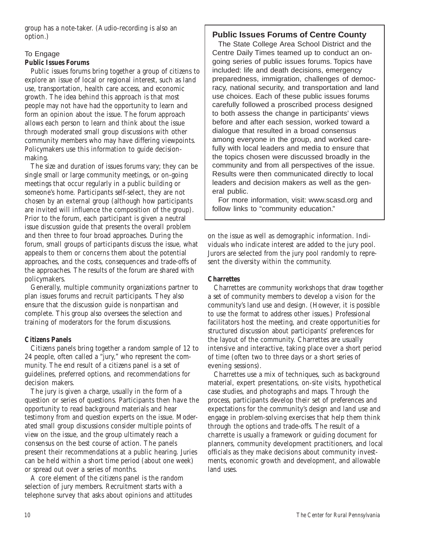group has a note-taker. (Audio-recording is also an option.)

# To Engage

## **Public Issues Forums**

Public issues forums bring together a group of citizens to explore an issue of local or regional interest, such as land use, transportation, health care access, and economic growth. The idea behind this approach is that most people may not have had the opportunity to learn and form an opinion about the issue. The forum approach allows each person to learn and think about the issue through moderated small group discussions with other community members who may have differing viewpoints. Policymakers use this information to guide decisionmaking.

The size and duration of issues forums vary; they can be single small or large community meetings, or on-going meetings that occur regularly in a public building or someone's home. Participants self-select, they are not chosen by an external group (although how participants are invited will influence the composition of the group). Prior to the forum, each participant is given a neutral issue discussion guide that presents the overall problem and then three to four broad approaches. During the forum, small groups of participants discuss the issue, what appeals to them or concerns them about the potential approaches, and the costs, consequences and trade-offs of the approaches. The results of the forum are shared with policymakers.

Generally, multiple community organizations partner to plan issues forums and recruit participants. They also ensure that the discussion guide is nonpartisan and complete. This group also oversees the selection and training of moderators for the forum discussions.

# **Citizens Panels**

Citizens panels bring together a random sample of 12 to 24 people, often called a "jury," who represent the community. The end result of a citizens panel is a set of guidelines, preferred options, and recommendations for decision makers.

The jury is given a charge, usually in the form of a question or series of questions. Participants then have the opportunity to read background materials and hear testimony from and question experts on the issue. Moderated small group discussions consider multiple points of view on the issue, and the group ultimately reach a consensus on the best course of action. The panels present their recommendations at a public hearing. Juries can be held within a short time period (about one week) or spread out over a series of months.

A core element of the citizens panel is the random selection of jury members. Recruitment starts with a telephone survey that asks about opinions and attitudes

# **Public Issues Forums of Centre County**

The State College Area School District and the Centre Daily Times teamed up to conduct an ongoing series of public issues forums. Topics have included: life and death decisions, emergency preparedness, immigration, challenges of democracy, national security, and transportation and land use choices. Each of these public issues forums carefully followed a proscribed process designed to both assess the change in participants' views before and after each session, worked toward a dialogue that resulted in a broad consensus among everyone in the group, and worked carefully with local leaders and media to ensure that the topics chosen were discussed broadly in the community and from all perspectives of the issue. Results were then communicated directly to local leaders and decision makers as well as the general public.

For more information, visit: www.scasd.org and follow links to "community education."

on the issue as well as demographic information. Individuals who indicate interest are added to the jury pool. Jurors are selected from the jury pool randomly to represent the diversity within the community.

### **Charrettes**

Charrettes are community workshops that draw together a set of community members to develop a vision for the community's land use and design. (However, it is possible to use the format to address other issues.) Professional facilitators host the meeting, and create opportunities for structured discussion about participants' preferences for the layout of the community. Charrettes are usually intensive and interactive, taking place over a short period of time (often two to three days or a short series of evening sessions).

Charrettes use a mix of techniques, such as background material, expert presentations, on-site visits, hypothetical case studies, and photographs and maps. Through the process, participants develop their set of preferences and expectations for the community's design and land use and engage in problem-solving exercises that help them think through the options and trade-offs. The result of a charrette is usually a framework or guiding document for planners, community development practitioners, and local officials as they make decisions about community investments, economic growth and development, and allowable land uses.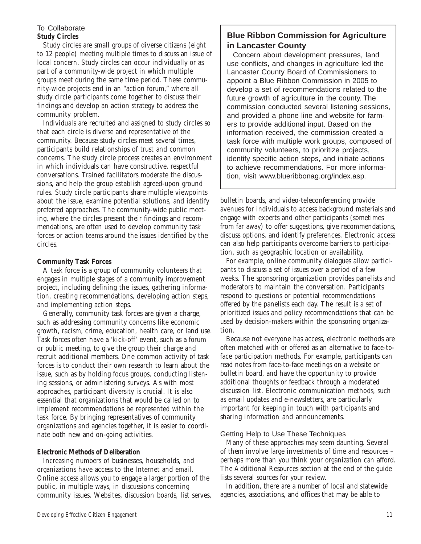#### To Collaborate **Study Circles**

Study circles are small groups of diverse citizens (eight to 12 people) meeting multiple times to discuss an issue of local concern. Study circles can occur individually or as part of a community-wide project in which multiple groups meet during the same time period. These community-wide projects end in an "action forum," where all study circle participants come together to discuss their findings and develop an action strategy to address the community problem.

Individuals are recruited and assigned to study circles so that each circle is diverse and representative of the community. Because study circles meet several times, participants build relationships of trust and common concerns. The study circle process creates an environment in which individuals can have constructive, respectful conversations. Trained facilitators moderate the discussions, and help the group establish agreed-upon ground rules. Study circle participants share multiple viewpoints about the issue, examine potential solutions, and identify preferred approaches. The community-wide public meeting, where the circles present their findings and recommendations, are often used to develop community task forces or action teams around the issues identified by the circles.

#### **Community Task Forces**

A task force is a group of community volunteers that engages in multiple stages of a community improvement project, including defining the issues, gathering information, creating recommendations, developing action steps, and implementing action steps.

Generally, community task forces are given a charge, such as addressing community concerns like economic growth, racism, crime, education, health care, or land use. Task forces often have a 'kick-off' event, such as a forum or public meeting, to give the group their charge and recruit additional members. One common activity of task forces is to conduct their own research to learn about the issue, such as by holding focus groups, conducting listening sessions, or administering surveys. As with most approaches, participant diversity is crucial. It is also essential that organizations that would be called on to implement recommendations be represented within the task force. By bringing representatives of community organizations and agencies together, it is easier to coordinate both new and on-going activities.

#### **Electronic Methods of Deliberation**

Increasing numbers of businesses, households, and organizations have access to the Internet and email. Online access allows you to engage a larger portion of the public, in multiple ways, in discussions concerning community issues. Websites, discussion boards, list serves,

# **Blue Ribbon Commission for Agriculture in Lancaster County**

Concern about development pressures, land use conflicts, and changes in agriculture led the Lancaster County Board of Commissioners to appoint a Blue Ribbon Commission in 2005 to develop a set of recommendations related to the future growth of agriculture in the county. The commission conducted several listening sessions, and provided a phone line and website for farmers to provide additional input. Based on the information received, the commission created a task force with multiple work groups, composed of community volunteers, to prioritize projects, identify specific action steps, and initiate actions to achieve recommendations. For more information, visit www.blueribbonag.org/index.asp.

bulletin boards, and video-teleconferencing provide avenues for individuals to access background materials and engage with experts and other participants (sometimes from far away) to offer suggestions, give recommendations, discuss options, and identify preferences. Electronic access can also help participants overcome barriers to participation, such as geographic location or availability.

For example, online community dialogues allow participants to discuss a set of issues over a period of a few weeks. The sponsoring organization provides panelists and moderators to maintain the conversation. Participants respond to questions or potential recommendations offered by the panelists each day. The result is a set of prioritized issues and policy recommendations that can be used by decision-makers within the sponsoring organization.

Because not everyone has access, electronic methods are often matched with or offered as an alternative to face-toface participation methods. For example, participants can read notes from face-to-face meetings on a website or bulletin board, and have the opportunity to provide additional thoughts or feedback through a moderated discussion list. Electronic communication methods, such as email updates and e-newsletters, are particularly important for keeping in touch with participants and sharing information and announcements.

# Getting Help to Use These Techniques

Many of these approaches may seem daunting. Several of them involve large investments of time and resources – perhaps more than you think your organization can afford. The Additional Resources section at the end of the guide lists several sources for your review.

In addition, there are a number of local and statewide agencies, associations, and offices that may be able to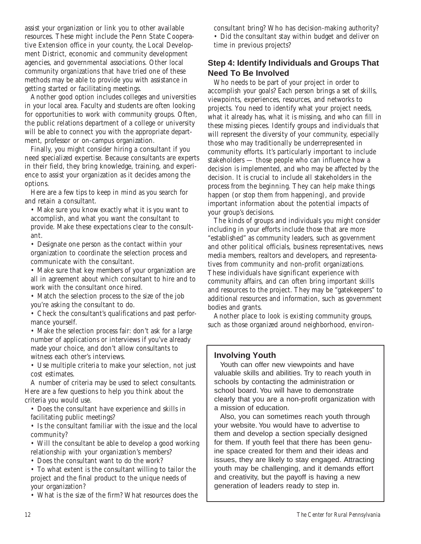assist your organization or link you to other available resources. These might include the Penn State Cooperative Extension office in your county, the Local Development District, economic and community development agencies, and governmental associations. Other local community organizations that have tried one of these methods may be able to provide you with assistance in getting started or facilitating meetings.

Another good option includes colleges and universities in your local area. Faculty and students are often looking for opportunities to work with community groups. Often, the public relations department of a college or university will be able to connect you with the appropriate department, professor or on-campus organization.

Finally, you might consider hiring a consultant if you need specialized expertise. Because consultants are experts in their field, they bring knowledge, training, and experience to assist your organization as it decides among the options.

Here are a few tips to keep in mind as you search for and retain a consultant.

• Make sure you know exactly what it is you want to accomplish, and what you want the consultant to provide. Make these expectations clear to the consultant.

• Designate one person as the contact within your organization to coordinate the selection process and communicate with the consultant.

• Make sure that key members of your organization are all in agreement about which consultant to hire and to work with the consultant once hired.

• Match the selection process to the size of the job you're asking the consultant to do.

• Check the consultant's qualifications and past performance yourself.

• Make the selection process fair: don't ask for a large number of applications or interviews if you've already made your choice, and don't allow consultants to witness each other's interviews.

• Use multiple criteria to make your selection, not just cost estimates.

A number of criteria may be used to select consultants. Here are a few questions to help you think about the criteria you would use.

• Does the consultant have experience and skills in facilitating public meetings?

• Is the consultant familiar with the issue and the local community?

• Will the consultant be able to develop a good working relationship with your organization's members?

• Does the consultant want to do the work?

• To what extent is the consultant willing to tailor the project and the final product to the unique needs of your organization?

• What is the size of the firm? What resources does the

consultant bring? Who has decision-making authority? • Did the consultant stay within budget and deliver on time in previous projects?

# **Step 4: Identify Individuals and Groups That Need To Be Involved**

Who needs to be part of your project in order to accomplish your goals? Each person brings a set of skills, viewpoints, experiences, resources, and networks to projects. You need to identify what your project needs, what it already has, what it is missing, and who can fill in these missing pieces. Identify groups and individuals that will represent the diversity of your community, especially those who may traditionally be underrepresented in community efforts. It's particularly important to include stakeholders — those people who can influence how a decision is implemented, and who may be affected by the decision. It is crucial to include all stakeholders in the process from the beginning. They can help make things happen (or stop them from happening), and provide important information about the potential impacts of your group's decisions.

The kinds of groups and individuals you might consider including in your efforts include those that are more "established" as community leaders, such as government and other political officials, business representatives, news media members, realtors and developers, and representatives from community and non-profit organizations. These individuals have significant experience with community affairs, and can often bring important skills and resources to the project. They may be "gatekeepers" to additional resources and information, such as government bodies and grants.

Another place to look is existing community groups, such as those organized around neighborhood, environ-

## **Involving Youth**

Youth can offer new viewpoints and have valuable skills and abilities. Try to reach youth in schools by contacting the administration or school board. You will have to demonstrate clearly that you are a non-profit organization with a mission of education.

Also, you can sometimes reach youth through your website. You would have to advertise to them and develop a section specially designed for them. If youth feel that there has been genuine space created for them and their ideas and issues, they are likely to stay engaged. Attracting youth may be challenging, and it demands effort and creativity, but the payoff is having a new generation of leaders ready to step in.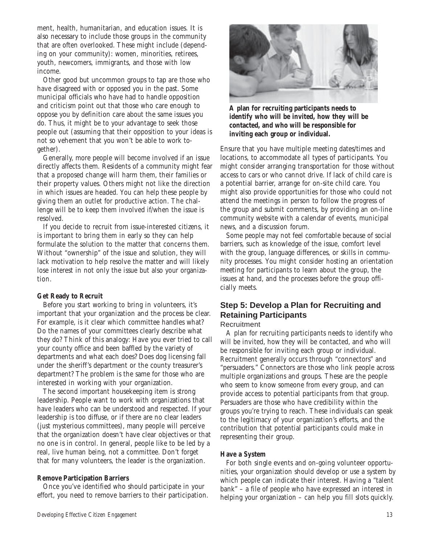ment, health, humanitarian, and education issues. It is also necessary to include those groups in the community that are often overlooked. These might include (depending on your community): women, minorities, retirees, youth, newcomers, immigrants, and those with low income.

Other good but uncommon groups to tap are those who have disagreed with or opposed you in the past. Some municipal officials who have had to handle opposition and criticism point out that those who care enough to oppose you by definition care about the same issues you do. Thus, it might be to your advantage to seek those people out (assuming that their opposition to your ideas is not so vehement that you won't be able to work together).

Generally, more people will become involved if an issue directly affects them. Residents of a community might fear that a proposed change will harm them, their families or their property values. Others might not like the direction in which issues are headed. You can help these people by giving them an outlet for productive action. The challenge will be to keep them involved if/when the issue is resolved.

If you decide to recruit from issue-interested citizens, it is important to bring them in early so they can help formulate the solution to the matter that concerns them. Without "ownership" of the issue and solution, they will lack motivation to help resolve the matter and will likely lose interest in not only the issue but also your organization.

#### **Get Ready to Recruit**

Before you start working to bring in volunteers, it's important that your organization and the process be clear. For example, is it clear which committee handles what? Do the names of your committees clearly describe what they do? Think of this analogy: Have you ever tried to call your county office and been baffled by the variety of departments and what each does? Does dog licensing fall under the sheriff's department or the county treasurer's department? The problem is the same for those who are interested in working with your organization.

The second important housekeeping item is strong leadership. People want to work with organizations that have leaders who can be understood and respected. If your leadership is too diffuse, or if there are no clear leaders (just mysterious committees), many people will perceive that the organization doesn't have clear objectives or that no one is in control. In general, people like to be led by a real, live human being, not a committee. Don't forget that for many volunteers, the leader is the organization.

#### **Remove Participation Barriers**

Once you've identified who should participate in your effort, you need to remove barriers to their participation.



**A plan for recruiting participants needs to identify who will be invited, how they will be contacted, and who will be responsible for inviting each group or individual.**

Ensure that you have multiple meeting dates/times and locations, to accommodate all types of participants. You might consider arranging transportation for those without access to cars or who cannot drive. If lack of child care is a potential barrier, arrange for on-site child care. You might also provide opportunities for those who could not attend the meetings in person to follow the progress of the group and submit comments, by providing an on-line community website with a calendar of events, municipal news, and a discussion forum.

Some people may not feel comfortable because of social barriers, such as knowledge of the issue, comfort level with the group, language differences, or skills in community processes. You might consider hosting an orientation meeting for participants to learn about the group, the issues at hand, and the processes before the group officially meets.

# **Step 5: Develop a Plan for Recruiting and Retaining Participants**

### **Recruitment**

A plan for recruiting participants needs to identify who will be invited, how they will be contacted, and who will be responsible for inviting each group or individual. Recruitment generally occurs through "connectors" and "persuaders." Connectors are those who link people across multiple organizations and groups. These are the people who seem to know someone from every group, and can provide access to potential participants from that group. Persuaders are those who have credibility within the groups you're trying to reach. These individuals can speak to the legitimacy of your organization's efforts, and the contribution that potential participants could make in representing their group.

#### **Have a System**

For both single events and on-going volunteer opportunities, your organization should develop or use a system by which people can indicate their interest. Having a "talent bank" – a file of people who have expressed an interest in helping your organization – can help you fill slots quickly.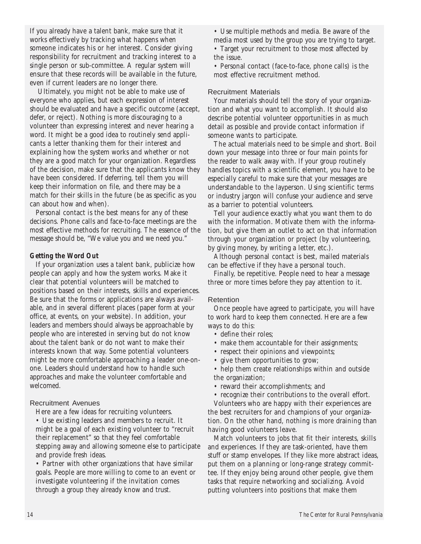If you already have a talent bank, make sure that it works effectively by tracking what happens when someone indicates his or her interest. Consider giving responsibility for recruitment and tracking interest to a single person or sub-committee. A regular system will ensure that these records will be available in the future, even if current leaders are no longer there.

 Ultimately, you might not be able to make use of everyone who applies, but each expression of interest should be evaluated and have a specific outcome (accept, defer, or reject). Nothing is more discouraging to a volunteer than expressing interest and never hearing a word. It might be a good idea to routinely send applicants a letter thanking them for their interest and explaining how the system works and whether or not they are a good match for your organization. Regardless of the decision, make sure that the applicants know they have been considered. If deferring, tell them you will keep their information on file, and there may be a match for their skills in the future (be as specific as you can about how and when).

Personal contact is the best means for any of these decisions. Phone calls and face-to-face meetings are the most effective methods for recruiting. The essence of the message should be, "We value you and we need you."

#### **Getting the Word Out**

If your organization uses a talent bank, publicize how people can apply and how the system works. Make it clear that potential volunteers will be matched to positions based on their interests, skills and experiences. Be sure that the forms or applications are always available, and in several different places (paper form at your office, at events, on your website). In addition, your leaders and members should always be approachable by people who are interested in serving but do not know about the talent bank or do not want to make their interests known that way. Some potential volunteers might be more comfortable approaching a leader one-onone. Leaders should understand how to handle such approaches and make the volunteer comfortable and welcomed.

#### Recruitment Avenues

Here are a few ideas for recruiting volunteers.

• Use existing leaders and members to recruit. It might be a goal of each existing volunteer to "recruit their replacement" so that they feel comfortable stepping away and allowing someone else to participate and provide fresh ideas.

• Partner with other organizations that have similar goals. People are more willing to come to an event or investigate volunteering if the invitation comes through a group they already know and trust.

• Use multiple methods and media. Be aware of the media most used by the group you are trying to target.

• Target your recruitment to those most affected by the issue.

• Personal contact (face-to-face, phone calls) is the most effective recruitment method.

#### Recruitment Materials

Your materials should tell the story of your organization and what you want to accomplish. It should also describe potential volunteer opportunities in as much detail as possible and provide contact information if someone wants to participate.

The actual materials need to be simple and short. Boil down your message into three or four main points for the reader to walk away with. If your group routinely handles topics with a scientific element, you have to be especially careful to make sure that your messages are understandable to the layperson. Using scientific terms or industry jargon will confuse your audience and serve as a barrier to potential volunteers.

Tell your audience exactly what you want them to do with the information. Motivate them with the information, but give them an outlet to act on that information through your organization or project (by volunteering, by giving money, by writing a letter, etc.).

Although personal contact is best, mailed materials can be effective if they have a personal touch.

Finally, be repetitive. People need to hear a message three or more times before they pay attention to it.

#### Retention

Once people have agreed to participate, you will have to work hard to keep them connected. Here are a few ways to do this:

- define their roles;
- make them accountable for their assignments;
- respect their opinions and viewpoints;
- give them opportunities to grow;

• help them create relationships within and outside the organization;

• reward their accomplishments; and

having good volunteers leave.

• recognize their contributions to the overall effort. Volunteers who are happy with their experiences are the best recruiters for and champions of your organization. On the other hand, nothing is more draining than

Match volunteers to jobs that fit their interests, skills and experiences. If they are task-oriented, have them stuff or stamp envelopes. If they like more abstract ideas, put them on a planning or long-range strategy committee. If they enjoy being around other people, give them tasks that require networking and socializing. Avoid putting volunteers into positions that make them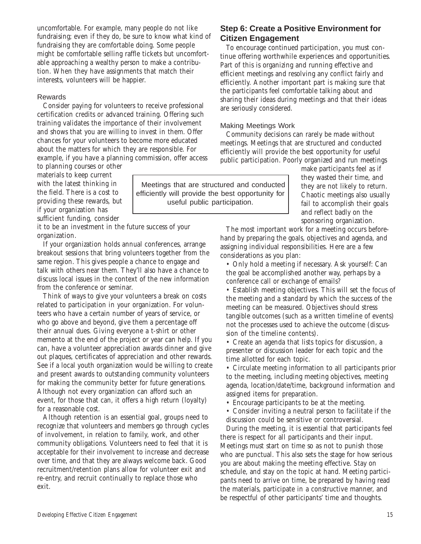uncomfortable. For example, many people do not like fundraising; even if they do, be sure to know what kind of fundraising they are comfortable doing. Some people might be comfortable selling raffle tickets but uncomfortable approaching a wealthy person to make a contribution. When they have assignments that match their interests, volunteers will be happier.

#### Rewards

Consider paying for volunteers to receive professional certification credits or advanced training. Offering such training validates the importance of their involvement and shows that you are willing to invest in them. Offer chances for your volunteers to become more educated about the matters for which they are responsible. For example, if you have a planning commission, offer access

to planning courses or other materials to keep current with the latest thinking in the field. There is a cost to providing these rewards, but if your organization has sufficient funding, consider

it to be an investment in the future success of your organization.

If your organization holds annual conferences, arrange breakout sessions that bring volunteers together from the same region. This gives people a chance to engage and talk with others near them. They'll also have a chance to discuss local issues in the context of the new information from the conference or seminar.

Think of ways to give your volunteers a break on costs related to participation in your organization. For volunteers who have a certain number of years of service, or who go above and beyond, give them a percentage off their annual dues. Giving everyone a t-shirt or other memento at the end of the project or year can help. If you can, have a volunteer appreciation awards dinner and give out plaques, certificates of appreciation and other rewards. See if a local youth organization would be willing to create and present awards to outstanding community volunteers for making the community better for future generations. Although not every organization can afford such an event, for those that can, it offers a high return (loyalty) for a reasonable cost.

Although retention is an essential goal, groups need to recognize that volunteers and members go through cycles of involvement, in relation to family, work, and other community obligations. Volunteers need to feel that it is acceptable for their involvement to increase and decrease over time, and that they are always welcome back. Good recruitment/retention plans allow for volunteer exit and re-entry, and recruit continually to replace those who exit.

# **Step 6: Create a Positive Environment for Citizen Engagement**

To encourage continued participation, you must continue offering worthwhile experiences and opportunities. Part of this is organizing and running effective and efficient meetings and resolving any conflict fairly and efficiently. Another important part is making sure that the participants feel comfortable talking about and sharing their ideas during meetings and that their ideas are seriously considered.

#### Making Meetings Work

Community decisions can rarely be made without meetings. Meetings that are structured and conducted efficiently will provide the best opportunity for useful public participation. Poorly organized and run meetings

Meetings that are structured and conducted efficiently will provide the best opportunity for useful public participation.

make participants feel as if they wasted their time, and they are not likely to return. Chaotic meetings also usually fail to accomplish their goals and reflect badly on the sponsoring organization.

The most important work for a meeting occurs beforehand by preparing the goals, objectives and agenda, and assigning individual responsibilities. Here are a few considerations as you plan:

• Only hold a meeting if necessary. Ask yourself: Can the goal be accomplished another way, perhaps by a conference call or exchange of emails?

• Establish meeting objectives. This will set the focus of the meeting and a standard by which the success of the meeting can be measured. Objectives should stress tangible outcomes (such as a written timeline of events) not the processes used to achieve the outcome (discussion of the timeline contents).

• Create an agenda that lists topics for discussion, a presenter or discussion leader for each topic and the time allotted for each topic.

• Circulate meeting information to all participants prior to the meeting, including meeting objectives, meeting agenda, location/date/time, background information and assigned items for preparation.

• Encourage participants to be at the meeting.

• Consider inviting a neutral person to facilitate if the discussion could be sensitive or controversial.

During the meeting, it is essential that participants feel there is respect for all participants and their input. Meetings must start on time so as not to punish those who are punctual. This also sets the stage for how serious you are about making the meeting effective. Stay on schedule, and stay on the topic at hand. Meeting participants need to arrive on time, be prepared by having read the materials, participate in a constructive manner, and be respectful of other participants' time and thoughts.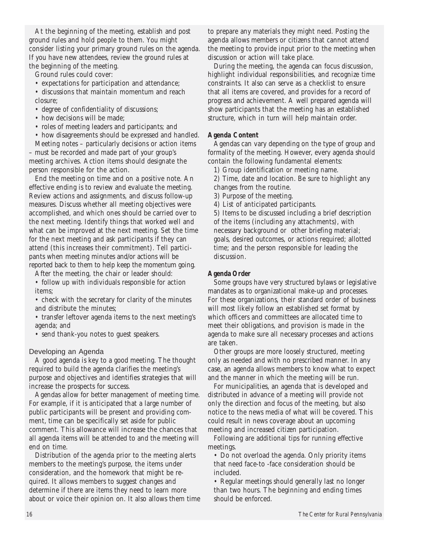At the beginning of the meeting, establish and post ground rules and hold people to them. You might consider listing your primary ground rules on the agenda. If you have new attendees, review the ground rules at the beginning of the meeting.

Ground rules could cover:

- expectations for participation and attendance;
- discussions that maintain momentum and reach closure;
- degree of confidentiality of discussions;
- how decisions will be made:
- roles of meeting leaders and participants; and
- how disagreements should be expressed and handled. Meeting notes – particularly decisions or action items

– must be recorded and made part of your group's meeting archives. Action items should designate the person responsible for the action.

End the meeting on time and on a positive note. An effective ending is to review and evaluate the meeting. Review actions and assignments, and discuss follow-up measures. Discuss whether all meeting objectives were accomplished, and which ones should be carried over to the next meeting. Identify things that worked well and what can be improved at the next meeting. Set the time for the next meeting and ask participants if they can attend (this increases their commitment). Tell participants when meeting minutes and/or actions will be reported back to them to help keep the momentum going.

After the meeting, the chair or leader should: • follow up with individuals responsible for action items;

• check with the secretary for clarity of the minutes and distribute the minutes;

• transfer leftover agenda items to the next meeting's agenda; and

• send thank-you notes to guest speakers.

#### Developing an Agenda

A good agenda is key to a good meeting. The thought required to build the agenda clarifies the meeting's purpose and objectives and identifies strategies that will increase the prospects for success.

Agendas allow for better management of meeting time. For example, if it is anticipated that a large number of public participants will be present and providing comment, time can be specifically set aside for public comment. This allowance will increase the chances that all agenda items will be attended to and the meeting will end on time.

Distribution of the agenda prior to the meeting alerts members to the meeting's purpose, the items under consideration, and the homework that might be required. It allows members to suggest changes and determine if there are items they need to learn more about or voice their opinion on. It also allows them time to prepare any materials they might need. Posting the agenda allows members or citizens that cannot attend the meeting to provide input prior to the meeting when discussion or action will take place.

During the meeting, the agenda can focus discussion, highlight individual responsibilities, and recognize time constraints. It also can serve as a checklist to ensure that all items are covered, and provides for a record of progress and achievement. A well prepared agenda will show participants that the meeting has an established structure, which in turn will help maintain order.

#### **Agenda Content**

Agendas can vary depending on the type of group and formality of the meeting. However, every agenda should contain the following fundamental elements:

1) Group identification or meeting name.

2) Time, date and location. Be sure to highlight any changes from the routine.

3) Purpose of the meeting.

4) List of anticipated participants.

5) Items to be discussed including a brief description of the items (including any attachments), with necessary background or other briefing material; goals, desired outcomes, or actions required; allotted time; and the person responsible for leading the discussion.

#### **Agenda Order**

Some groups have very structured bylaws or legislative mandates as to organizational make-up and processes. For these organizations, their standard order of business will most likely follow an established set format by which officers and committees are allocated time to meet their obligations, and provision is made in the agenda to make sure all necessary processes and actions are taken.

Other groups are more loosely structured, meeting only as needed and with no prescribed manner. In any case, an agenda allows members to know what to expect and the manner in which the meeting will be run.

For municipalities, an agenda that is developed and distributed in advance of a meeting will provide not only the direction and focus of the meeting, but also notice to the news media of what will be covered. This could result in news coverage about an upcoming meeting and increased citizen participation.

Following are additional tips for running effective meetings.

• Do not overload the agenda. Only priority items that need face-to -face consideration should be included.

• Regular meetings should generally last no longer than two hours. The beginning and ending times should be enforced.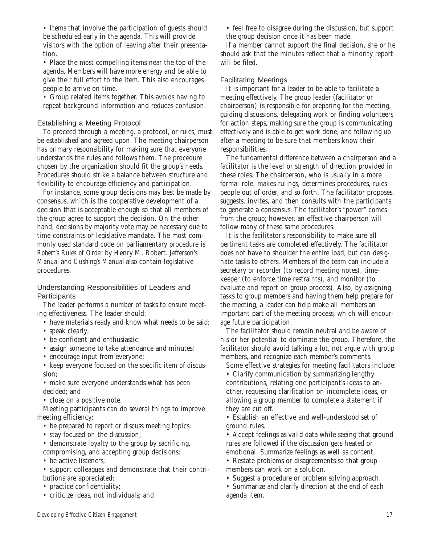• Items that involve the participation of guests should be scheduled early in the agenda. This will provide visitors with the option of leaving after their presentation.

• Place the most compelling items near the top of the agenda. Members will have more energy and be able to give their full effort to the item. This also encourages people to arrive on time.

• Group related items together. This avoids having to repeat background information and reduces confusion.

#### Establishing a Meeting Protocol

To proceed through a meeting, a protocol, or rules, must be established and agreed upon. The meeting chairperson has primary responsibility for making sure that everyone understands the rules and follows them. The procedure chosen by the organization should fit the group's needs. Procedures should strike a balance between structure and flexibility to encourage efficiency and participation.

For instance, some group decisions may best be made by consensus, which is the cooperative development of a decision that is acceptable enough so that all members of the group agree to support the decision. On the other hand, decisions by majority vote may be necessary due to time constraints or legislative mandate. The most commonly used standard code on parliamentary procedure is *Robert's Rules of Order* by Henry M. Robert. *Jefferson's Manual* and *Cushing's Manual* also contain legislative procedures.

Understanding Responsibilities of Leaders and **Participants** 

The leader performs a number of tasks to ensure meeting effectiveness. The leader should:

- have materials ready and know what needs to be said;
- speak clearly;
- be confident and enthusiastic;
- assign someone to take attendance and minutes;
- encourage input from everyone;

• keep everyone focused on the specific item of discussion;

• make sure everyone understands what has been decided; and

• close on a positive note.

Meeting participants can do several things to improve meeting efficiency:

- be prepared to report or discuss meeting topics;
- stay focused on the discussion;

• demonstrate loyalty to the group by sacrificing,

compromising, and accepting group decisions;

- be active listeners;
- support colleagues and demonstrate that their contributions are appreciated;
- practice confidentiality;
- criticize ideas, not individuals; and

• feel free to disagree during the discussion, but support the group decision once it has been made.

If a member cannot support the final decision, she or he should ask that the minutes reflect that a minority report will be filed.

#### Facilitating Meetings

It is important for a leader to be able to facilitate a meeting effectively. The group leader (facilitator or chairperson) is responsible for preparing for the meeting, guiding discussions, delegating work or finding volunteers for action steps, making sure the group is communicating effectively and is able to get work done, and following up after a meeting to be sure that members know their responsibilities.

The fundamental difference between a chairperson and a facilitator is the level or strength of direction provided in these roles. The chairperson, who is usually in a more formal role, makes rulings, determines procedures, rules people out of order, and so forth. The facilitator proposes, suggests, invites, and then consults with the participants to generate a consensus. The facilitator's "power" comes from the group; however, an effective chairperson will follow many of these same procedures.

It is the facilitator's responsibility to make sure all pertinent tasks are completed effectively. The facilitator does not have to shoulder the entire load, but can designate tasks to others. Members of the team can include a secretary or recorder (to record meeting notes), timekeeper (to enforce time restraints), and monitor (to evaluate and report on group process). Also, by assigning tasks to group members and having them help prepare for the meeting, a leader can help make all members an important part of the meeting process, which will encourage future participation.

The facilitator should remain neutral and be aware of his or her potential to dominate the group. Therefore, the facilitator should avoid talking a lot, not argue with group members, and recognize each member's comments.

Some effective strategies for meeting facilitators include:

• Clarify communication by summarizing lengthy contributions, relating one participant's ideas to another, requesting clarification on incomplete ideas, or allowing a group member to complete a statement if they are cut off.

• Establish an effective and well-understood set of ground rules.

• Accept feelings as valid data while seeing that ground rules are followed if the discussion gets heated or emotional. Summarize feelings as well as content.

• Restate problems or disagreements so that group members can work on a solution.

• Suggest a procedure or problem solving approach.

• Summarize and clarify direction at the end of each agenda item.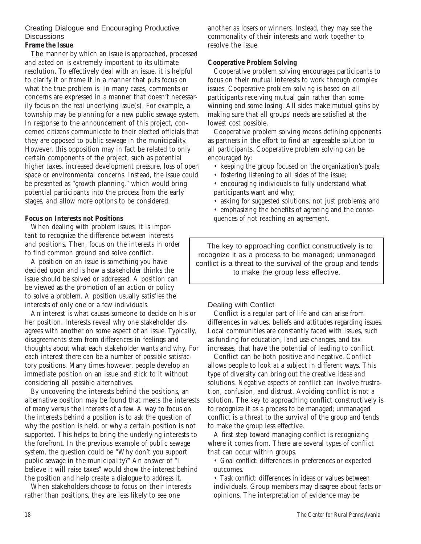## Creating Dialogue and Encouraging Productive **Discussions**

#### **Frame the Issue**

The manner by which an issue is approached, processed and acted on is extremely important to its ultimate resolution. To effectively deal with an issue, it is helpful to clarify it or frame it in a manner that puts focus on what the true problem is. In many cases, comments or concerns are expressed in a manner that doesn't necessarily focus on the real underlying issue(s). For example, a township may be planning for a new public sewage system. In response to the announcement of this project, concerned citizens communicate to their elected officials that they are opposed to public sewage in the municipality. However, this opposition may in fact be related to only certain components of the project, such as potential higher taxes, increased development pressure, loss of open space or environmental concerns. Instead, the issue could be presented as "growth planning," which would bring potential participants into the process from the early stages, and allow more options to be considered.

#### **Focus on Interests not Positions**

When dealing with problem issues, it is important to recognize the difference between interests and positions. Then, focus on the interests in order to find common ground and solve conflict.

A position on an issue is something you have decided upon and is how a stakeholder thinks the issue should be solved or addressed. A position can be viewed as the promotion of an action or policy to solve a problem. A position usually satisfies the interests of only one or a few individuals.

An interest is what causes someone to decide on his or her position. Interests reveal why one stakeholder disagrees with another on some aspect of an issue. Typically, disagreements stem from differences in feelings and thoughts about what each stakeholder wants and why. For each interest there can be a number of possible satisfactory positions. Many times however, people develop an immediate position on an issue and stick to it without considering all possible alternatives.

By uncovering the interests behind the positions, an alternative position may be found that meets the interests of many versus the interests of a few. A way to focus on the interests behind a position is to ask the question of why the position is held, or why a certain position is not supported. This helps to bring the underlying interests to the forefront. In the previous example of public sewage system, the question could be "Why don't you support public sewage in the municipality?" An answer of "I believe it will raise taxes" would show the interest behind the position and help create a dialogue to address it.

When stakeholders choose to focus on their interests rather than positions, they are less likely to see one

another as losers or winners. Instead, they may see the commonality of their interests and work together to resolve the issue.

### **Cooperative Problem Solving**

Cooperative problem solving encourages participants to focus on their mutual interests to work through complex issues. Cooperative problem solving is based on all participants receiving mutual gain rather than some winning and some losing. All sides make mutual gains by making sure that all groups' needs are satisfied at the lowest cost possible.

Cooperative problem solving means defining opponents as partners in the effort to find an agreeable solution to all participants. Cooperative problem solving can be encouraged by:

- keeping the group focused on the organization's goals;
- fostering listening to all sides of the issue;
- encouraging individuals to fully understand what participants want and why;
- asking for suggested solutions, not just problems; and
- emphasizing the benefits of agreeing and the consequences of not reaching an agreement.

The key to approaching conflict constructively is to recognize it as a process to be managed; unmanaged conflict is a threat to the survival of the group and tends to make the group less effective.

#### Dealing with Conflict

Conflict is a regular part of life and can arise from differences in values, beliefs and attitudes regarding issues. Local communities are constantly faced with issues, such as funding for education, land use changes, and tax increases, that have the potential of leading to conflict.

Conflict can be both positive and negative. Conflict allows people to look at a subject in different ways. This type of diversity can bring out the creative ideas and solutions. Negative aspects of conflict can involve frustration, confusion, and distrust. Avoiding conflict is not a solution. The key to approaching conflict constructively is to recognize it as a process to be managed; unmanaged conflict is a threat to the survival of the group and tends to make the group less effective.

A first step toward managing conflict is recognizing where it comes from. There are several types of conflict that can occur within groups.

• *Goal conflict*: differences in preferences or expected outcomes.

• *Task conflict*: differences in ideas or values between individuals. Group members may disagree about facts or opinions. The interpretation of evidence may be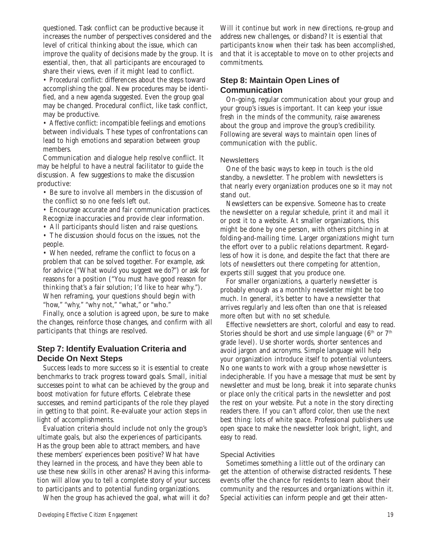questioned. Task conflict can be productive because it increases the number of perspectives considered and the level of critical thinking about the issue, which can improve the quality of decisions made by the group. It is essential, then, that all participants are encouraged to share their views, even if it might lead to conflict.

• *Procedural conflict*: differences about the steps toward accomplishing the goal. New procedures may be identified, and a new agenda suggested. Even the group goal may be changed. Procedural conflict, like task conflict, may be productive.

• *Affective conflict*: incompatible feelings and emotions between individuals. These types of confrontations can lead to high emotions and separation between group members.

Communication and dialogue help resolve conflict. It may be helpful to have a neutral facilitator to guide the discussion. A few suggestions to make the discussion productive:

• Be sure to involve all members in the discussion of the conflict so no one feels left out.

• Encourage accurate and fair communication practices. Recognize inaccuracies and provide clear information.

• All participants should listen and raise questions.

• The discussion should focus on the issues, not the people.

• When needed, reframe the conflict to focus on a problem that can be solved together. For example, ask for advice ("What would you suggest we do?") or ask for reasons for a position ("You must have good reason for thinking that's a fair solution; I'd like to hear why."). When reframing, your questions should begin with "how," "why," "why not," "what," or "who."

Finally, once a solution is agreed upon, be sure to make the changes, reinforce those changes, and confirm with all participants that things are resolved.

# **Step 7: Identify Evaluation Criteria and Decide On Next Steps**

Success leads to more success so it is essential to create benchmarks to track progress toward goals. Small, initial successes point to what can be achieved by the group and boost motivation for future efforts. Celebrate these successes, and remind participants of the role they played in getting to that point. Re-evaluate your action steps in light of accomplishments.

Evaluation criteria should include not only the group's ultimate goals, but also the experiences of participants. Has the group been able to attract members, and have these members' experiences been positive? What have they learned in the process, and have they been able to use these new skills in other arenas? Having this information will allow you to tell a complete story of your success to participants and to potential funding organizations.

When the group has achieved the goal, what will it do?

Will it continue but work in new directions, re-group and address new challenges, or disband? It is essential that participants know when their task has been accomplished, and that it is acceptable to move on to other projects and commitments.

# **Step 8: Maintain Open Lines of Communication**

On-going, regular communication about your group and your group's issues is important. It can keep your issue fresh in the minds of the community, raise awareness about the group and improve the group's credibility. Following are several ways to maintain open lines of communication with the public.

#### **Newsletters**

One of the basic ways to keep in touch is the old standby, a newsletter. The problem with newsletters is that nearly every organization produces one so it may not stand out.

Newsletters can be expensive. Someone has to create the newsletter on a regular schedule, print it and mail it or post it to a website. At smaller organizations, this might be done by one person, with others pitching in at folding-and-mailing time. Larger organizations might turn the effort over to a public relations department. Regardless of how it is done, and despite the fact that there are lots of newsletters out there competing for attention, experts still suggest that you produce one.

For smaller organizations, a quarterly newsletter is probably enough as a monthly newsletter might be too much. In general, it's better to have a newsletter that arrives regularly and less often than one that is released more often but with no set schedule.

Effective newsletters are short, colorful and easy to read. Stories should be short and use simple language  $(6<sup>th</sup>$  or  $7<sup>th</sup>$ grade level). Use shorter words, shorter sentences and avoid jargon and acronyms. Simple language will help your organization introduce itself to potential volunteers. No one wants to work with a group whose newsletter is indecipherable. If you have a message that must be sent by newsletter and must be long, break it into separate chunks or place only the critical parts in the newsletter and post the rest on your website. Put a note in the story directing readers there. If you can't afford color, then use the next best thing: lots of white space. Professional publishers use open space to make the newsletter look bright, light, and easy to read.

#### Special Activities

Sometimes something a little out of the ordinary can get the attention of otherwise distracted residents. These events offer the chance for residents to learn about their community and the resources and organizations within it. Special activities can inform people and get their atten-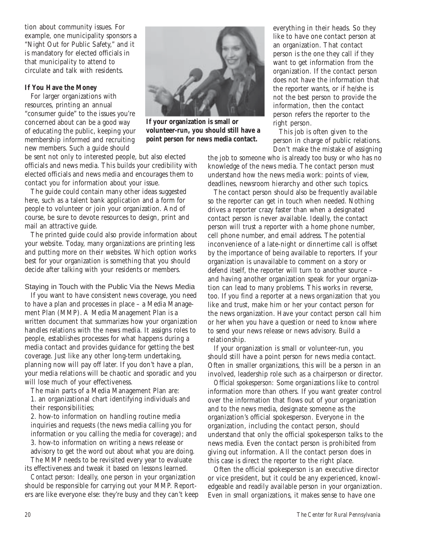tion about community issues. For example, one municipality sponsors a "Night Out for Public Safety," and it is mandatory for elected officials in that municipality to attend to circulate and talk with residents.

#### **If You Have the Money**

For larger organizations with resources, printing an annual "consumer guide" to the issues you're concerned about can be a good way of educating the public, keeping your membership informed and recruiting new members. Such a guide should



**If your organization is small or volunteer-run, you should still have a point person for news media contact.**

be sent not only to interested people, but also elected officials and news media. This builds your credibility with elected officials and news media and encourages them to contact you for information about your issue.

The guide could contain many other ideas suggested here, such as a talent bank application and a form for people to volunteer or join your organization. And of course, be sure to devote resources to design, print and mail an attractive guide.

The printed guide could also provide information about your website. Today, many organizations are printing less and putting more on their websites. Which option works best for your organization is something that you should decide after talking with your residents or members.

#### Staying in Touch with the Public Via the News Media

If you want to have consistent news coverage, you need to have a plan and processes in place – a Media Management Plan (MMP). A Media Management Plan is a written document that summarizes how your organization handles relations with the news media. It assigns roles to people, establishes processes for what happens during a media contact and provides guidance for getting the best coverage. Just like any other long-term undertaking, planning now will pay off later. If you don't have a plan, your media relations will be chaotic and sporadic and you will lose much of your effectiveness.

The main parts of a Media Management Plan are: 1. an organizational chart identifying individuals and their responsibilities;

2. how-to information on handling routine media inquiries and requests (the news media calling you for information or you calling the media for coverage); and 3. how-to information on writing a news release or

advisory to get the word out about what you are doing. The MMP needs to be revisited every year to evaluate its effectiveness and tweak it based on lessons learned.

*Contact person:* Ideally, one person in your organization should be responsible for carrying out your MMP. Reporters are like everyone else: they're busy and they can't keep

everything in their heads. So they like to have one contact person at an organization. That contact person is the one they call if they want to get information from the organization. If the contact person does not have the information that the reporter wants, or if he/she is not the best person to provide the information, then the contact person refers the reporter to the right person.

This job is often given to the person in charge of public relations. Don't make the mistake of assigning

the job to someone who is already too busy or who has no knowledge of the news media. The contact person must understand how the news media work: points of view, deadlines, newsroom hierarchy and other such topics.

The contact person should also be frequently available so the reporter can get in touch when needed. Nothing drives a reporter crazy faster than when a designated contact person is never available. Ideally, the contact person will trust a reporter with a home phone number, cell phone number, and email address. The potential inconvenience of a late-night or dinnertime call is offset by the importance of being available to reporters. If your organization is unavailable to comment on a story or defend itself, the reporter will turn to another source – and having another organization speak for your organization can lead to many problems. This works in reverse, too. If you find a reporter at a news organization that you like and trust, make him or her your contact person for the news organization. Have your contact person call him or her when you have a question or need to know where to send your news release or news advisory. Build a relationship.

If your organization is small or volunteer-run, you should still have a point person for news media contact. Often in smaller organizations, this will be a person in an involved, leadership role such as a chairperson or director.

*Official spokesperson:* Some organizations like to control information more than others. If you want greater control over the information that flows out of your organization and to the news media, designate someone as the organization's official spokesperson. Everyone in the organization, including the contact person, should understand that only the official spokesperson talks to the news media. Even the contact person is prohibited from giving out information. All the contact person does in this case is direct the reporter to the right place.

Often the official spokesperson is an executive director or vice president, but it could be any experienced, knowledgeable and readily available person in your organization. Even in small organizations, it makes sense to have one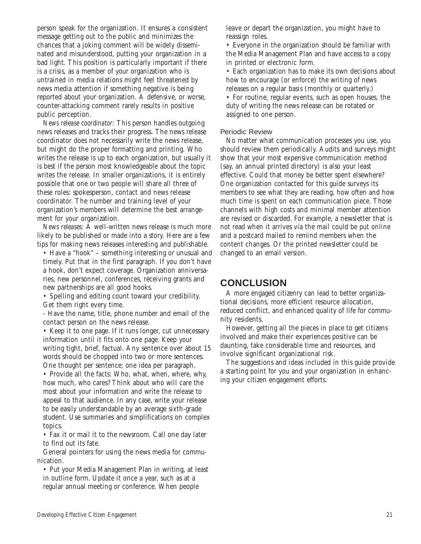person speak for the organization. It ensures a consistent message getting out to the public and minimizes the chances that a joking comment will be widely disseminated and misunderstood, putting your organization in a bad light. This position is particularly important if there is a crisis, as a member of your organization who is untrained in media relations might feel threatened by news media attention if something negative is being reported about your organization. A defensive, or worse, counter-attacking comment rarely results in positive public perception.

*News release coordinator:* This person handles outgoing news releases and tracks their progress. The news release coordinator does not necessarily write the news release, but might do the proper formatting and printing. Who writes the release is up to each organization, but usually it is best if the person most knowledgeable about the topic writes the release. In smaller organizations, it is entirely possible that one or two people will share all three of these roles: spokesperson, contact and news release coordinator. The number and training level of your organization's members will determine the best arrangement for your organization.

*News releases:* A well-written news release is much more likely to be published or made into a story. Here are a few tips for making news releases interesting and publishable.

• Have a "hook" – something interesting or unusual and timely. Put that in the first paragraph. If you don't have a hook, don't expect coverage. Organization anniversaries, new personnel, conferences, receiving grants and new partnerships are all good hooks.

• Spelling and editing count toward your credibility. Get them right every time.

- Have the name, title, phone number and email of the contact person on the news release.

• Keep it to one page. If it runs longer, cut unnecessary information until it fits onto one page. Keep your writing tight, brief, factual. Any sentence over about 15 words should be chopped into two or more sentences. One thought per sentence; one idea per paragraph.

• Provide all the facts: Who, what, when, where, why, how much, who cares? Think about who will care the most about your information and write the release to appeal to that audience. In any case, write your release to be easily understandable by an average sixth-grade student. Use summaries and simplifications on complex topics.

• Fax it or mail it to the newsroom. Call one day later to find out its fate.

General pointers for using the news media for communication.

• Put your Media Management Plan in writing, at least in outline form. Update it once a year, such as at a regular annual meeting or conference. When people

leave or depart the organization, you might have to reassign roles.

• Everyone in the organization should be familiar with the Media Management Plan and have access to a copy in printed or electronic form.

• Each organization has to make its own decisions about how to encourage (or enforce) the writing of news releases on a regular basis (monthly or quarterly.)

• For routine, regular events, such as open houses, the duty of writing the news release can be rotated or assigned to one person.

#### Periodic Review

No matter what communication processes you use, you should review them periodically. Audits and surveys might show that your most expensive communication method (say, an annual printed directory) is also your least effective. Could that money be better spent elsewhere? One organization contacted for this guide surveys its members to see what they are reading, how often and how much time is spent on each communication piece. Those channels with high costs and minimal member attention are revised or discarded. For example, a newsletter that is not read when it arrives via the mail could be put online and a postcard mailed to remind members when the content changes. Or the printed newsletter could be changed to an email version.

# **CONCLUSION**

A more engaged citizenry can lead to better organizational decisions, more efficient resource allocation, reduced conflict, and enhanced quality of life for community residents.

However, getting all the pieces in place to get citizens involved and make their experiences positive can be daunting, take considerable time and resources, and involve significant organizational risk.

The suggestions and ideas included in this guide provide a starting point for you and your organization in enhancing your citizen engagement efforts.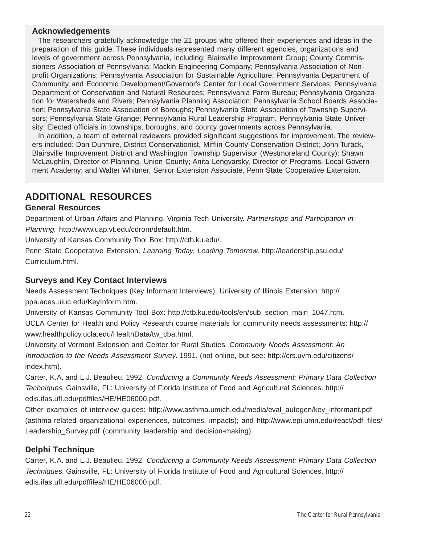## **Acknowledgements**

The researchers gratefully acknowledge the 21 groups who offered their experiences and ideas in the preparation of this guide. These individuals represented many different agencies, organizations and levels of government across Pennsylvania, including: Blairsville Improvement Group; County Commissioners Association of Pennsylvania; Mackin Engineering Company; Pennsylvania Association of Nonprofit Organizations; Pennsylvania Association for Sustainable Agriculture; Pennsylvania Department of Community and Economic Development/Governor's Center for Local Government Services; Pennsylvania Department of Conservation and Natural Resources; Pennsylvania Farm Bureau; Pennsylvania Organization for Watersheds and Rivers; Pennsylvania Planning Association; Pennsylvania School Boards Association; Pennsylvania State Association of Boroughs; Pennsylvania State Association of Township Supervisors; Pennsylvania State Grange; Pennsylvania Rural Leadership Program, Pennsylvania State University; Elected officials in townships, boroughs, and county governments across Pennsylvania.

In addition, a team of external reviewers provided significant suggestions for improvement. The reviewers included: Dan Dunmire, District Conservationist, Mifflin County Conservation District; John Turack, Blairsville Improvement District and Washington Township Supervisor (Westmoreland County); Shawn McLaughlin, Director of Planning, Union County; Anita Lengvarsky, Director of Programs, Local Government Academy; and Walter Whitmer, Senior Extension Associate, Penn State Cooperative Extension.

# **ADDITIONAL RESOURCES**

# **General Resources**

Department of Urban Affairs and Planning, Virginia Tech University. Partnerships and Participation in Planning. http://www.uap.vt.edu/cdrom/default.htm.

University of Kansas Community Tool Box: http://ctb.ku.edu/.

Penn State Cooperative Extension. Learning Today, Leading Tomorrow. http://leadership.psu.edu/ Curriculum.html.

# **Surveys and Key Contact Interviews**

Needs Assessment Techniques (Key Informant Interviews), University of Illinois Extension: http:// ppa.aces.uiuc.edu/KeyInform.htm.

University of Kansas Community Tool Box: http://ctb.ku.edu/tools/en/sub\_section\_main\_1047.htm. UCLA Center for Health and Policy Research course materials for community needs assessments: http:// www.healthpolicy.ucla.edu/HealthData/tw\_cba.html.

University of Vermont Extension and Center for Rural Studies. Community Needs Assessment: An Introduction to the Needs Assessment Survey. 1991. (not online, but see: http://crs.uvm.edu/citizens/ index.htm).

Carter, K.A. and L.J. Beaulieu. 1992. Conducting a Community Needs Assessment: Primary Data Collection Techniques. Gainsville, FL: University of Florida Institute of Food and Agricultural Sciences. http:// edis.ifas.ufl.edu/pdffiles/HE/HE06000.pdf.

Other examples of interview guides: http://www.asthma.umich.edu/media/eval\_autogen/key\_informant.pdf (asthma-related organizational experiences, outcomes, impacts); and http://www.epi.umn.edu/react/pdf\_files/ Leadership Survey.pdf (community leadership and decision-making).

# **Delphi Technique**

Carter, K.A. and L.J. Beaulieu. 1992. Conducting a Community Needs Assessment: Primary Data Collection Techniques. Gainsville, FL: University of Florida Institute of Food and Agricultural Sciences. http:// edis.ifas.ufl.edu/pdffiles/HE/HE06000.pdf.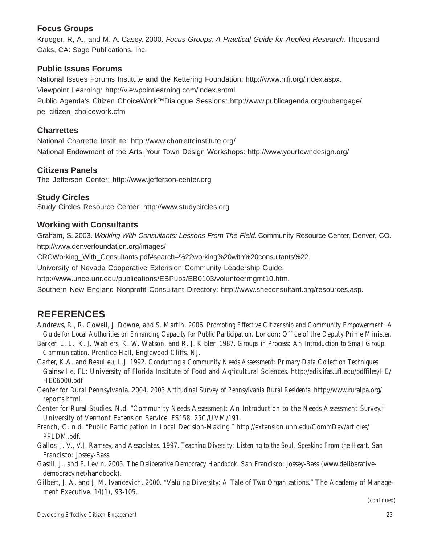# **Focus Groups**

Krueger, R, A., and M. A. Casey. 2000. Focus Groups: A Practical Guide for Applied Research. Thousand Oaks, CA: Sage Publications, Inc.

# **Public Issues Forums**

National Issues Forums Institute and the Kettering Foundation: http://www.nifi.org/index.aspx. Viewpoint Learning: http://viewpointlearning.com/index.shtml.

Public Agenda's Citizen ChoiceWork™Dialogue Sessions: http://www.publicagenda.org/pubengage/ pe\_citizen\_choicework.cfm

# **Charrettes**

National Charrette Institute: http://www.charretteinstitute.org/ National Endowment of the Arts, Your Town Design Workshops: http://www.yourtowndesign.org/

# **Citizens Panels**

The Jefferson Center: http://www.jefferson-center.org

# **Study Circles**

Study Circles Resource Center: http://www.studycircles.org

# **Working with Consultants**

Graham, S. 2003. Working With Consultants: Lessons From The Field. Community Resource Center, Denver, CO. http://www.denverfoundation.org/images/

CRCWorking\_With\_Consultants.pdf#search=%22working%20with%20consultants%22.

University of Nevada Cooperative Extension Community Leadership Guide:

http://www.unce.unr.edu/publications/EBPubs/EB0103/volunteermgmt10.htm.

Southern New England Nonprofit Consultant Directory: http://www.sneconsultant.org/resources.asp.

# **REFERENCES**

Andrews, R., R. Cowell, J. Downe, and S. Martin. 2006. *Promoting Effective Citizenship and Community Empowerment: A Guide for Local Authorities on Enhancing Capacity for Public Participation*. London: Office of the Deputy Prime Minister.

- Barker, L. L., K. J. Wahlers, K. W. Watson, and R. J. Kibler. 1987. *Groups in Process: An Introduction to Small Group Communication*. Prentice Hall, Englewood Cliffs, NJ.
- Carter, K.A. and Beaulieu, L.J. 1992. *Conducting a Community Needs Assessment: Primary Data Collection Techniques*. Gainsville, FL: University of Florida Institute of Food and Agricultural Sciences. http://edis.ifas.ufl.edu/pdffiles/HE/ HE06000.pdf

Center for Rural Pennsylvania. 2004. *2003 Attitudinal Survey of Pennsylvania Rural Residents*. http://www.ruralpa.org/ reports.html.

Center for Rural Studies. N.d. "Community Needs Assessment: An Introduction to the Needs Assessment Survey." University of Vermont Extension Service. FS158, 25C/UVM/191.

French, C. n.d. "Public Participation in Local Decision-Making." http://extension.unh.edu/CommDev/articles/ PPLDM.pdf.

Gallos, J. V., V.J. Ramsey, and Associates. 1997. *Teaching Diversity: Listening to the Soul, Speaking From the Heart*. San Francisco: Jossey-Bass.

Gastil, J., and P. Levin. 2005. *The Deliberative Democracy Handbook*. San Francisco: Jossey-Bass (www.deliberativedemocracy.net/handbook).

Gilbert, J. A. and J. M. Ivancevich. 2000. "Valuing Diversity: A Tale of Two Organizations." The Academy of Management Executive. 14(1), 93-105.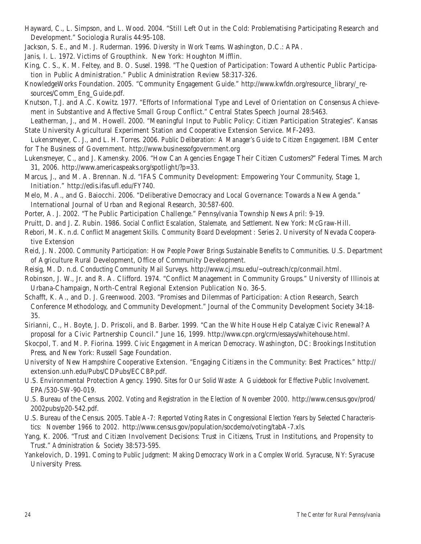- Hayward, C., L. Simpson, and L. Wood. 2004. "Still Left Out in the Cold: Problematising Participating Research and Development." Sociologia Ruralis 44:95-108.
- Jackson, S. E., and M. J. Ruderman. 1996. *Diversity in Work Teams*. Washington, D.C.: APA.
- Janis, I. L. 1972. Victims of Groupthink. New York: Houghton Mifflin.
- King, C. S., K. M. Feltey, and B. O. Susel. 1998. "The Question of Participation: Toward Authentic Public Participation in Public Administration." Public Administration Review 58:317-326.
- KnowledgeWorks Foundation. 2005. "Community Engagement Guide." http://www.kwfdn.org/resource\_library/\_resources/Comm\_Eng\_Guide.pdf.
- Knutson, T.J. and A.C. Kowitz. 1977. "Efforts of Informational Type and Level of Orientation on Consensus Achievement in Substantive and Affective Small Group Conflict." Central States Speech Journal 28:5463.

Leatherman, J., and M. Howell. 2000. "Meaningful Input to Public Policy: Citizen Participation Strategies". Kansas State University Agricultural Experiment Station and Cooperative Extension Service. MF-2493.

- Lukensmeyer, C. J., and L. H. Torres. 2006. *Public Deliberation: A Manager's Guide to Citizen Engagement*. IBM Center for The Business of Government. http://www.businessofgovernment.org
- Lukensmeyer, C., and J. Kamensky. 2006. "How Can Agencies Engage Their Citizen Customers?" Federal Times. March 31, 2006. http://www.americaspeaks.org/spotlight/?p=33.
- Marcus, J., and M. A. Brennan. N.d. "IFAS Community Development: Empowering Your Community, Stage 1, Initiation." http://edis.ifas.ufl.edu/FY740.
- Melo, M. A., and G. Baiocchi. 2006. "Deliberative Democracy and Local Governance: Towards a New Agenda." International Journal of Urban and Regional Research, 30:587-600.
- Porter, A. J. 2002. "The Public Participation Challenge." Pennsylvania Township News April: 9-19.
- Pruitt, D. and J. Z. Rubin. 1986. *Social Conflict Escalation, Stalemate, and Settlement*. New York: McGraw-Hill.
- Rebori, M. K. n.d. *Conflict Management Skills. Community Board Development : Series 2*. University of Nevada Cooperative Extension
- Reid, J. N. 2000. *Community Participation: How People Power Brings Sustainable Benefits to Communities*. U.S. Department of Agriculture Rural Development, Office of Community Development.
- Reisig, M. D. n.d. *Conducting Community Mail Surveys*. http://www.cj.msu.edu/~outreach/cp/conmail.html.
- Robinson, J. W., Jr. and R. A. Clifford. 1974. "Conflict Management in Community Groups." University of Illinois at Urbana-Champaign, North-Central Regional Extension Publication No. 36-5.
- Schafft, K. A., and D. J. Greenwood. 2003. "Promises and Dilemmas of Participation: Action Research, Search Conference Methodology, and Community Development." Journal of the Community Development Society 34:18- 35.
- Sirianni, C., H. Boyte, J. D. Priscoli, and B. Barber. 1999. "Can the White House Help Catalyze Civic Renewal? A proposal for a Civic Partnership Council." June 16, 1999. http://www.cpn.org/crm/essays/whitehouse.html.
- Skocpol, T. and M. P. Fiorina. 1999. *Civic Engagement in American Democracy*. Washington, DC: Brookings Institution Press, and New York: Russell Sage Foundation.
- University of New Hampshire Cooperative Extension. "Engaging Citizens in the Community: Best Practices." http:// extension.unh.edu/Pubs/CDPubs/ECCBP.pdf.
- U.S. Environmental Protection Agency. 1990. *Sites for Our Solid Waste: A Guidebook for Effective Public Involvement*. EPA/530-SW-90-019.
- U.S. Bureau of the Census. 2002. *Voting and Registration in the Election of November 2000.* http://www.census.gov/prod/ 2002pubs/p20-542.pdf.
- U.S. Bureau of the Census. 2005. *Table A-7: Reported Voting Rates in Congressional Election Years by Selected Characteristics: November 1966 to 2002.* http://www.census.gov/population/socdemo/voting/tabA-7.xls.
- Yang, K. 2006. "Trust and Citizen Involvement Decisions: Trust in Citizens, Trust in Institutions, and Propensity to Trust." *Administration & Society* 38:573-595.
- Yankelovich, D. 1991. *Coming to Public Judgment: Making Democracy Work in a Complex World.* Syracuse, NY: Syracuse University Press.